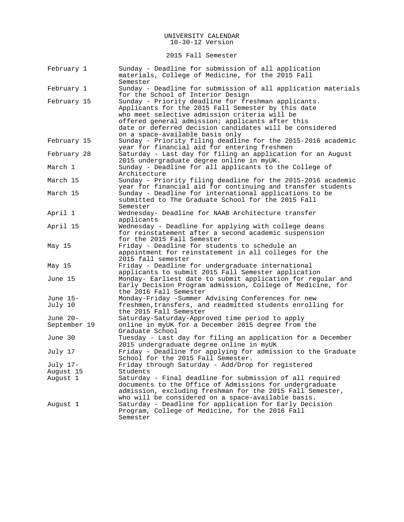2015 Fall Semester

| February 1   | Sunday - Deadline for submission of all application<br>materials, College of Medicine, for the 2015 Fall<br>Semester                                                                                                                                                                                         |
|--------------|--------------------------------------------------------------------------------------------------------------------------------------------------------------------------------------------------------------------------------------------------------------------------------------------------------------|
| February 1   | Sunday - Deadline for submission of all application materials<br>for the School of Interior Design                                                                                                                                                                                                           |
| February 15  | Sunday - Priority deadline for freshman applicants.<br>Applicants for the 2015 Fall Semester by this date<br>who meet selective admission criteria will be<br>offered general admission; applicants after this<br>date or deferred decision candidates will be considered<br>on a space-available basis only |
| February 15  | Sunday - Priority filing deadline for the 2015-2016 academic<br>year for financial aid for entering freshmen                                                                                                                                                                                                 |
| February 28  | Saturday - Last day for filing an application for an August<br>2015 undergraduate degree online in myUK.                                                                                                                                                                                                     |
| March 1      | Sunday - Deadline for all applicants to the College of<br>Architecture                                                                                                                                                                                                                                       |
| March 15     | Sunday - Priority filing deadline for the 2015-2016 academic<br>year for financial aid for continuing and transfer students                                                                                                                                                                                  |
| March 15     | Sunday - Deadline for international applications to be<br>submitted to The Graduate School for the 2015 Fall<br>Semester                                                                                                                                                                                     |
| April 1      | Wednesday- Deadline for NAAB Architecture transfer<br>applicants                                                                                                                                                                                                                                             |
| April 15     | Wednesday - Deadline for applying with college deans<br>for reinstatement after a second academic suspension<br>for the 2015 Fall Semester                                                                                                                                                                   |
| May 15       | Friday - Deadline for students to schedule an<br>appointment for reinstatement in all colleges for the<br>2015 fall semester                                                                                                                                                                                 |
| May 15       | Friday - Deadline for undergraduate international<br>applicants to submit 2015 Fall Semester application                                                                                                                                                                                                     |
| June 15      | Monday- Earliest date to submit application for regular and<br>Early Decision Program admission, College of Medicine, for<br>the 2016 Fall Semester                                                                                                                                                          |
| June 15-     | Monday-Friday -Summer Advising Conferences for new                                                                                                                                                                                                                                                           |
| July 10      | freshmen, transfers, and readmitted students enrolling for<br>the 2015 Fall Semester                                                                                                                                                                                                                         |
| June 20-     | Saturday-Saturday-Approved time period to apply                                                                                                                                                                                                                                                              |
| September 19 | online in myUK for a December 2015 degree from the<br>Graduate School                                                                                                                                                                                                                                        |
| June 30      | Tuesday - Last day for filing an application for a December<br>2015 undergraduate degree online in myUK                                                                                                                                                                                                      |
| July 17      | Friday - Deadline for applying for admission to the Graduate<br>School for the 2015 Fall Semester.                                                                                                                                                                                                           |
| July 17-     | Friday through Saturday - Add/Drop for registered                                                                                                                                                                                                                                                            |
| August 15    | Students                                                                                                                                                                                                                                                                                                     |
| August 1     | Saturday - Final deadline for submission of all required<br>documents to the Office of Admissions for undergraduate<br>admission, excluding freshman for the 2015 Fall Semester,<br>who will be considered on a space-available basis.                                                                       |
| August 1     | Saturday - Deadline for application for Early Decision<br>Program, College of Medicine, for the 2016 Fall<br>Semester                                                                                                                                                                                        |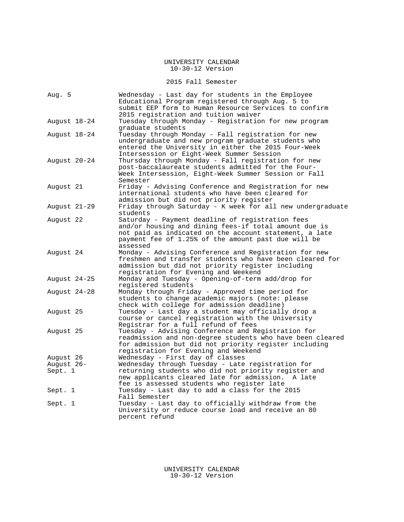### 2015 Fall Semester

| Aug. 5       | Wednesday - Last day for students in the Employee<br>Educational Program registered through Aug. 5 to<br>submit EEP form to Human Resource Services to confirm<br>2015 registration and tuition waiver                                 |
|--------------|----------------------------------------------------------------------------------------------------------------------------------------------------------------------------------------------------------------------------------------|
| August 18-24 | Tuesday through Monday - Registration for new program<br>graduate students                                                                                                                                                             |
| August 18-24 | Tuesday through Monday - Fall registration for new<br>undergraduate and new program graduate students who<br>entered the University in either the 2015 Four-Week<br>Intersession or Eight-Week Summer Session                          |
| August 20-24 | Thursday through Monday - Fall registration for new<br>post-baccalaureate students admitted for the Four-<br>Week Intersession, Eight-Week Summer Session or Fall<br>Semester                                                          |
| August 21    | Friday - Advising Conference and Registration for new<br>international students who have been cleared for<br>admission but did not priority register                                                                                   |
| August 21-29 | Friday through Saturday - K week for all new undergraduate<br>students                                                                                                                                                                 |
| August 22    | Saturday - Payment deadline of registration fees<br>and/or housing and dining fees-if total amount due is<br>not paid as indicated on the account statement, a late<br>payment fee of 1.25% of the amount past due will be<br>assessed |
| August 24    | Monday - Advising Conference and Registration for new<br>freshmen and transfer students who have been cleared for<br>admission but did not priority register including<br>registration for Evening and Weekend                         |
| August 24-25 | Monday and Tuesday - Opening-of-term add/drop for<br>registered students                                                                                                                                                               |
| August 24-28 | Monday through Friday - Approved time period for<br>students to change academic majors (note: please<br>check with college for admission deadline)                                                                                     |
| August 25    | Tuesday - Last day a student may officially drop a<br>course or cancel registration with the University<br>Registrar for a full refund of fees                                                                                         |
| August 25    | Tuesday - Advising Conference and Registration for<br>readmission and non-degree students who have been cleared<br>for admission but did not priority register including<br>registration for Evening and Weekend                       |
| August 26    | Wednesday - First day of classes                                                                                                                                                                                                       |
| August 26-   | Wednesday through Tuesday - Late registration for                                                                                                                                                                                      |
| Sept. 1      | returning students who did not priority register and<br>new applicants cleared late for admission.<br>A late<br>fee is assessed students who register late                                                                             |
| Sept. 1      | Tuesday - Last day to add a class for the 2015<br>Fall Semester                                                                                                                                                                        |
| Sept. 1      | Tuesday - Last day to officially withdraw from the<br>University or reduce course load and receive an 80<br>percent refund                                                                                                             |

UNIVERSITY CALENDAR 10-30-12 Version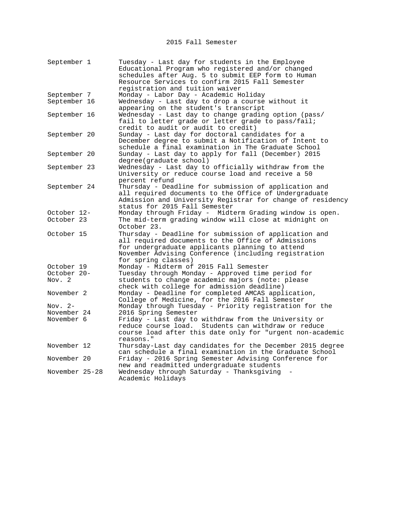2015 Fall Semester

| September 1    | Tuesday - Last day for students in the Employee<br>Educational Program who registered and/or changed<br>schedules after Aug. 5 to submit EEP form to Human<br>Resource Services to confirm 2015 Fall Semester<br>registration and tuition waiver |
|----------------|--------------------------------------------------------------------------------------------------------------------------------------------------------------------------------------------------------------------------------------------------|
| September 7    | Monday - Labor Day - Academic Holiday                                                                                                                                                                                                            |
| September 16   | Wednesday - Last day to drop a course without it<br>appearing on the student's transcript                                                                                                                                                        |
| September 16   | Wednesday - Last day to change grading option (pass/<br>fail to letter grade or letter grade to pass/fail;<br>credit to audit or audit to credit)                                                                                                |
| September 20   | Sunday - Last day for doctoral candidates for a<br>December degree to submit a Notification of Intent to<br>schedule a final examination in The Graduate School                                                                                  |
| September 20   | Sunday - Last day to apply for fall (December) 2015<br>degree(graduate school)                                                                                                                                                                   |
| September 23   | Wednesday - Last day to officially withdraw from the<br>University or reduce course load and receive a 50<br>percent refund                                                                                                                      |
| September 24   | Thursday - Deadline for submission of application and<br>all required documents to the Office of Undergraduate<br>Admission and University Registrar for change of residency<br>status for 2015 Fall Semester                                    |
| October 12-    | Monday through Friday - Midterm Grading window is open.                                                                                                                                                                                          |
| October 23     | The mid-term grading window will close at midnight on<br>October 23.                                                                                                                                                                             |
| October 15     | Thursday - Deadline for submission of application and<br>all required documents to the Office of Admissions<br>for undergraduate applicants planning to attend<br>November Advising Conference (including registration<br>for spring classes)    |
| October 19     | Monday - Midterm of 2015 Fall Semester                                                                                                                                                                                                           |
| October 20-    | Tuesday through Monday - Approved time period for                                                                                                                                                                                                |
| Nov. 2         | students to change academic majors (note: please<br>check with college for admission deadline)                                                                                                                                                   |
| November 2     | Monday - Deadline for completed AMCAS application,<br>College of Medicine, for the 2016 Fall Semester                                                                                                                                            |
| Nov. 2-        | Monday through Tuesday - Priority registration for the                                                                                                                                                                                           |
| November 24    | 2016 Spring Semester                                                                                                                                                                                                                             |
| November 6     | Friday - Last day to withdraw from the University or<br>Students can withdraw or reduce<br>reduce course load.<br>course load after this date only for "urgent non-academic<br>reasons."                                                         |
| November 12    | Thursday-Last day candidates for the December 2015 degree<br>can schedule a final examination in the Graduate School                                                                                                                             |
| November 20    | Friday - 2016 Spring Semester Advising Conference for<br>new and readmitted undergraduate students                                                                                                                                               |
| November 25-28 | Wednesday through Saturday - Thanksgiving<br>Academic Holidays                                                                                                                                                                                   |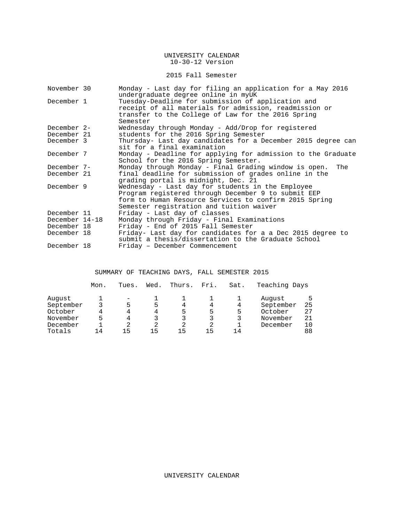### 2015 Fall Semester

| November 30    | Monday - Last day for filing an application for a May 2016<br>undergraduate degree online in myUK                                                                                                              |  |  |  |  |  |
|----------------|----------------------------------------------------------------------------------------------------------------------------------------------------------------------------------------------------------------|--|--|--|--|--|
| December 1     | Tuesday-Deadline for submission of application and<br>receipt of all materials for admission, readmission or<br>transfer to the College of Law for the 2016 Spring<br>Semester                                 |  |  |  |  |  |
| December 2-    | Wednesday through Monday - Add/Drop for registered                                                                                                                                                             |  |  |  |  |  |
| December 21    | students for the 2016 Spring Semester                                                                                                                                                                          |  |  |  |  |  |
| December 3     | Thursday- Last day candidates for a December 2015 degree can<br>sit for a final examination                                                                                                                    |  |  |  |  |  |
| December 7     | Monday - Deadline for applying for admission to the Graduate<br>School for the 2016 Spring Semester.                                                                                                           |  |  |  |  |  |
| December 7-    | Monday through Monday - Final Grading window is open. The                                                                                                                                                      |  |  |  |  |  |
| December 21    | final deadline for submission of grades online in the<br>grading portal is midnight, Dec. 21                                                                                                                   |  |  |  |  |  |
| December 9     | Wednesday - Last day for students in the Employee<br>Program registered through December 9 to submit EEP<br>form to Human Resource Services to confirm 2015 Spring<br>Semester registration and tuition waiver |  |  |  |  |  |
| December 11    | Friday - Last day of classes                                                                                                                                                                                   |  |  |  |  |  |
| December 14-18 | Monday through Friday - Final Examinations                                                                                                                                                                     |  |  |  |  |  |
| December 18    | Friday - End of 2015 Fall Semester                                                                                                                                                                             |  |  |  |  |  |
| December 18    | Friday- Last day for candidates for a a Dec 2015 degree to<br>submit a thesis/dissertation to the Graduate School                                                                                              |  |  |  |  |  |
| December 18    | Friday - December Commencement                                                                                                                                                                                 |  |  |  |  |  |

# SUMMARY OF TEACHING DAYS, FALL SEMESTER 2015

|           | Mon. | Tues. | Wed. | Thurs. | Fri. | Sat. | Teaching Days |    |
|-----------|------|-------|------|--------|------|------|---------------|----|
| August    |      |       |      |        |      |      | August        | 5. |
| September |      | ᄃ     | ל    | 4      |      | 4    | September     | 25 |
| October   | Δ    | 4     | 4    | 5      | 5    | 5    | October       | 27 |
| November  | 5    | 4     |      | 3      | 3    | 3    | November      | 21 |
| December  |      |       | 2    | 2      | 2.   |      | December      |    |
| Totals    | 14   | 15    | 15   | 15     | 15   | 14   |               | 88 |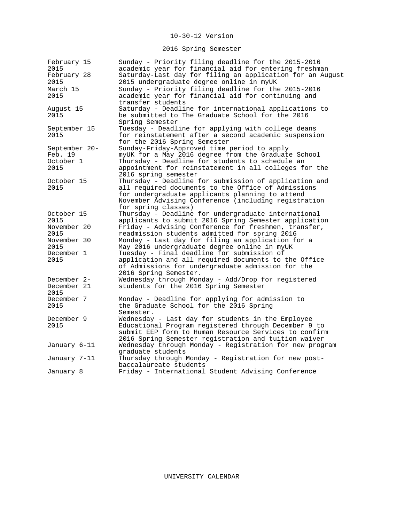# 2016 Spring Semester

| February 15<br>2015 | Sunday - Priority filing deadline for the 2015-2016<br>academic year for financial aid for entering freshman |
|---------------------|--------------------------------------------------------------------------------------------------------------|
| February 28         | Saturday-Last day for filing an application for an August                                                    |
| 2015                | 2015 undergraduate degree online in myUK                                                                     |
| March 15            | Sunday - Priority filing deadline for the 2015-2016                                                          |
| 2015                | academic year for financial aid for continuing and                                                           |
|                     | transfer students                                                                                            |
| August 15           | Saturday - Deadline for international applications to                                                        |
| 2015                | be submitted to The Graduate School for the 2016                                                             |
|                     | Spring Semester                                                                                              |
| September 15        | Tuesday - Deadline for applying with college deans                                                           |
| 2015                | for reinstatement after a second academic suspension                                                         |
|                     | for the 2016 Spring Semester                                                                                 |
| September 20-       | Sunday-Friday-Approved time period to apply                                                                  |
| Feb. 19             | myUK for a May 2016 degree from the Graduate School                                                          |
| October 1           | Thursday - Deadline for students to schedule an                                                              |
| 2015                | appointment for reinstatement in all colleges for the                                                        |
|                     | 2016 spring semester                                                                                         |
| October 15          | Thursday - Deadline for submission of application and                                                        |
| 2015                | all required documents to the Office of Admissions                                                           |
|                     | for undergraduate applicants planning to attend                                                              |
|                     | November Advising Conference (including registration                                                         |
|                     | for spring classes)                                                                                          |
| October 15          | Thursday - Deadline for undergraduate international                                                          |
| 2015                | applicants to submit 2016 Spring Semester application                                                        |
| November 20         | Friday - Advising Conference for freshmen, transfer,                                                         |
| 2015                | readmission students admitted for spring 2016                                                                |
| November 30         | Monday - Last day for filing an application for a                                                            |
| 2015                | May 2016 undergraduate degree online in myUK                                                                 |
| December 1          | Tuesday - Final deadline for submission of                                                                   |
| 2015                | application and all required documents to the Office                                                         |
|                     | of Admissions for undergraduate admission for the                                                            |
|                     | 2016 Spring Semester.                                                                                        |
| December 2-         | Wednesday through Monday - Add/Drop for registered                                                           |
| December 21         | students for the 2016 Spring Semester                                                                        |
| 2015                |                                                                                                              |
| December 7          | Monday - Deadline for applying for admission to                                                              |
| 2015                | the Graduate School for the 2016 Spring                                                                      |
|                     | Semester.                                                                                                    |
| December 9          | Wednesday - Last day for students in the Employee                                                            |
| 2015                | Educational Program registered through December 9 to                                                         |
|                     | submit EEP form to Human Resource Services to confirm                                                        |
|                     | 2016 Spring Semester registration and tuition waiver                                                         |
| January 6-11        | Wednesday through Monday - Registration for new program                                                      |
|                     | graduate students                                                                                            |
| January 7-11        | Thursday through Monday - Registration for new post-                                                         |
|                     | baccalaureate students                                                                                       |
| January 8           | Friday - International Student Advising Conference                                                           |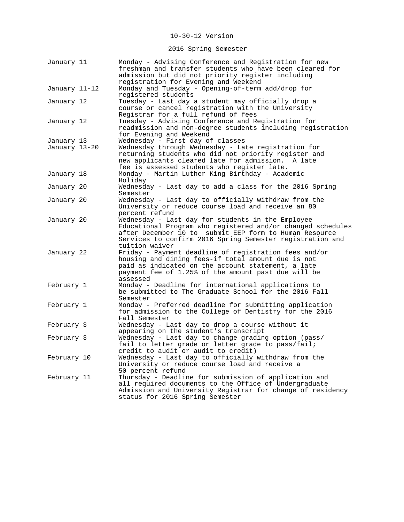# 2016 Spring Semester

| January 11                  | Monday - Advising Conference and Registration for new<br>freshman and transfer students who have been cleared for<br>admission but did not priority register including                                                                                    |
|-----------------------------|-----------------------------------------------------------------------------------------------------------------------------------------------------------------------------------------------------------------------------------------------------------|
| January 11–12               | registration for Evening and Weekend<br>Monday and Tuesday - Opening-of-term add/drop for<br>registered students                                                                                                                                          |
| January 12                  | Tuesday - Last day a student may officially drop a<br>course or cancel registration with the University<br>Registrar for a full refund of fees                                                                                                            |
| January 12                  | Tuesday - Advising Conference and Registration for<br>readmission and non-degree students including registration<br>for Evening and Weekend                                                                                                               |
| January 13<br>January 13-20 | Wednesday - First day of classes<br>Wednesday through Wednesday - Late registration for<br>returning students who did not priority register and<br>new applicants cleared late for admission.<br>A late<br>fee is assessed students who register late.    |
| January 18                  | Monday - Martin Luther King Birthday - Academic<br>Holiday                                                                                                                                                                                                |
| January 20                  | Wednesday - Last day to add a class for the 2016 Spring<br>Semester                                                                                                                                                                                       |
| January 20                  | Wednesday - Last day to officially withdraw from the<br>University or reduce course load and receive an 80<br>percent refund                                                                                                                              |
| January 20                  | Wednesday - Last day for students in the Employee<br>Educational Program who registered and/or changed schedules<br>after December 10 to submit EEP form to Human Resource<br>Services to confirm 2016 Spring Semester registration and<br>tuition waiver |
| January 22                  | Friday - Payment deadline of registration fees and/or<br>housing and dining fees-if total amount due is not<br>paid as indicated on the account statement, a late<br>payment fee of 1.25% of the amount past due will be<br>assessed                      |
| February 1                  | Monday - Deadline for international applications to<br>be submitted to The Graduate School for the 2016 Fall<br>Semester                                                                                                                                  |
| February 1                  | Monday - Preferred deadline for submitting application<br>for admission to the College of Dentistry for the 2016<br>Fall Semester                                                                                                                         |
| February 3                  | Wednesday - Last day to drop a course without it<br>appearing on the student's transcript                                                                                                                                                                 |
| February 3                  | Wednesday - Last day to change grading option (pass/<br>fail to letter grade or letter grade to pass/fail;<br>credit to audit or audit to credit)                                                                                                         |
| February 10                 | Wednesday - Last day to officially withdraw from the<br>University or reduce course load and receive a<br>50 percent refund                                                                                                                               |
| February 11                 | Thursday - Deadline for submission of application and<br>all required documents to the Office of Undergraduate<br>Admission and University Registrar for change of residency<br>status for 2016 Spring Semester                                           |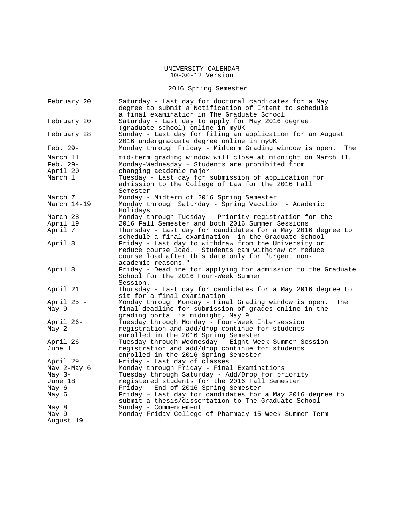# 2016 Spring Semester

| February 20          | Saturday - Last day for doctoral candidates for a May<br>degree to submit a Notification of Intent to schedule        |
|----------------------|-----------------------------------------------------------------------------------------------------------------------|
| February 20          | a final examination in The Graduate School<br>Saturday - Last day to apply for May 2016 degree                        |
|                      | (graduate school) online in myUK                                                                                      |
| February 28          | Sunday - Last day for filing an application for an August<br>2016 undergraduate degree online in myUK                 |
| Feb. 29-             | Monday through Friday - Midterm Grading window is open.<br>The                                                        |
| March 11<br>Feb. 29- | mid-term grading window will close at midnight on March 11.<br>Monday-Wednesday - Students are prohibited from        |
| April 20             | changing academic major                                                                                               |
| March 1              | Tuesday - Last day for submission of application for                                                                  |
|                      | admission to the College of Law for the 2016 Fall<br>Semester                                                         |
| March 7              | Monday - Midterm of 2016 Spring Semester                                                                              |
| March $14-19$        | Monday through Saturday - Spring Vacation - Academic<br>Holidays                                                      |
| March 28-            | Monday through Tuesday - Priority registration for the                                                                |
| April 19             | 2016 Fall Semester and both 2016 Summer Sessions                                                                      |
| April 7              | Thursday - Last day for candidates for a May 2016 degree to                                                           |
|                      | schedule a final examination in the Graduate School                                                                   |
| April 8              | Friday - Last day to withdraw from the University or<br>reduce course load. Students cam withdraw or reduce           |
|                      | course load after this date only for "urgent non-                                                                     |
|                      | academic reasons."                                                                                                    |
| April 8              | Friday - Deadline for applying for admission to the Graduate                                                          |
|                      | School for the 2016 Four-Week Summer                                                                                  |
|                      | Session.                                                                                                              |
| April 21             | Thursday - Last day for candidates for a May 2016 degree to                                                           |
|                      | sit for a final examination                                                                                           |
| April 25 -<br>May 9  | Monday through Monday - Final Grading window is open.<br>The<br>final deadline for submission of grades online in the |
|                      | qrading portal is midnight, May 9                                                                                     |
| April 26-            | Tuesday through Monday - Four-Week Intersession                                                                       |
| May 2                | registration and add/drop continue for students                                                                       |
|                      | enrolled in the 2016 Spring Semester                                                                                  |
| April 26-            | Tuesday through Wednesday - Eight-Week Summer Session                                                                 |
| June 1               | registration and add/drop continue for students<br>enrolled in the 2016 Spring Semester                               |
| April 29             | Friday - Last day of classes                                                                                          |
| May 2-May 6          | Monday through Friday - Final Examinations                                                                            |
| May $3-$<br>June 18  | Tuesday through Saturday - Add/Drop for priority<br>registered students for the 2016 Fall Semester                    |
| May 6                | Friday - End of 2016 Spring Semester                                                                                  |
| Мау б                | Friday - Last day for candidates for a May 2016 degree to                                                             |
|                      | submit a thesis/dissertation to The Graduate School                                                                   |
| May 8                | Sunday - Commencement                                                                                                 |
| May $9-$             | Monday-Friday-College of Pharmacy 15-Week Summer Term                                                                 |
| August 19            |                                                                                                                       |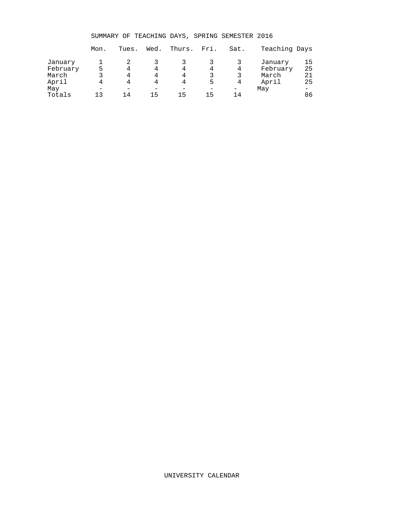SUMMARY OF TEACHING DAYS, SPRING SEMESTER 2016

|                     | Mon. | Tues. | Wed. | Thurs. | Fri. | Sat. | Teaching Days       |          |
|---------------------|------|-------|------|--------|------|------|---------------------|----------|
| January<br>February |      | 4     | 4    | 4      | 4    | 4    | January<br>February | 15<br>25 |
| March               |      | 4     | 4    | 4      |      | 3    | March               | 21       |
| April               |      | 4     | 4    | 4      | 5    | 4    | April               | 25       |
| May                 |      |       |      |        |      |      | May                 | -        |
| Totals              | 1 ว  | 14    | 15   | 15     | 15   | 14   |                     | 86       |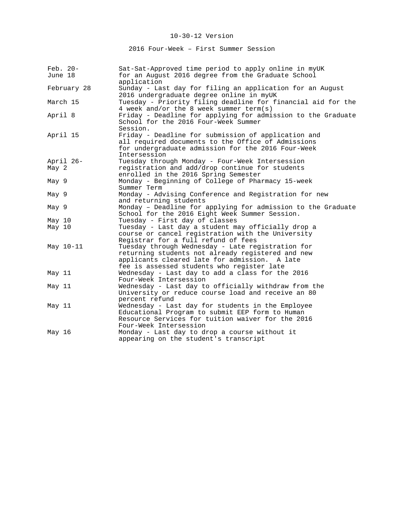2016 Four-Week – First Summer Session

| Feb. 20-<br>June 18 | Sat-Sat-Approved time period to apply online in myUK<br>for an August 2016 degree from the Graduate School<br>application                                                                             |
|---------------------|-------------------------------------------------------------------------------------------------------------------------------------------------------------------------------------------------------|
| February 28         | Sunday - Last day for filing an application for an August<br>2016 undergraduate degree online in myUK                                                                                                 |
| March 15            | Tuesday - Priority filing deadline for financial aid for the<br>4 week and/or the 8 week summer term(s)                                                                                               |
| April 8             | Friday - Deadline for applying for admission to the Graduate<br>School for the 2016 Four-Week Summer<br>Session.                                                                                      |
| April 15            | Friday - Deadline for submission of application and<br>all required documents to the Office of Admissions<br>for undergraduate admission for the 2016 Four-Week<br>Intersession                       |
| April 26-           | Tuesday through Monday - Four-Week Intersession                                                                                                                                                       |
| May <sub>2</sub>    | registration and add/drop continue for students<br>enrolled in the 2016 Spring Semester                                                                                                               |
| May 9               | Monday - Beginning of College of Pharmacy 15-week<br>Summer Term                                                                                                                                      |
| May 9               | Monday - Advising Conference and Registration for new<br>and returning students                                                                                                                       |
| May 9               | Monday - Deadline for applying for admission to the Graduate<br>School for the 2016 Eight Week Summer Session.                                                                                        |
| May 10              | Tuesday - First day of classes                                                                                                                                                                        |
| May 10              | Tuesday - Last day a student may officially drop a<br>course or cancel registration with the University<br>Registrar for a full refund of fees                                                        |
| May 10-11           | Tuesday through Wednesday - Late registration for<br>returning students not already registered and new<br>applicants cleared late for admission. A late<br>fee is assessed students who register late |
| May 11              | Wednesday - Last day to add a class for the 2016<br>Four-Week Intersession                                                                                                                            |
| May 11              | Wednesday - Last day to officially withdraw from the<br>University or reduce course load and receive an 80<br>percent refund                                                                          |
| May 11              | Wednesday - Last day for students in the Employee<br>Educational Program to submit EEP form to Human<br>Resource Services for tuition waiver for the 2016<br>Four-Week Intersession                   |
| May 16              | Monday - Last day to drop a course without it<br>appearing on the student's transcript                                                                                                                |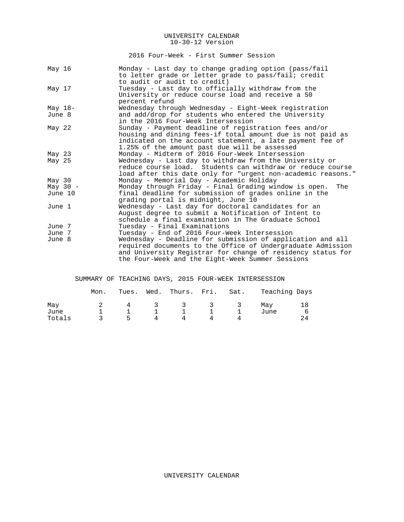2016 Four-Week - First Summer Session

| May 16            | Monday - Last day to change grading option (pass/fail<br>to letter grade or letter grade to pass/fail; credit |
|-------------------|---------------------------------------------------------------------------------------------------------------|
|                   | to audit or audit to credit)                                                                                  |
| May 17            | Tuesday - Last day to officially withdraw from the                                                            |
|                   | University or reduce course load and receive a 50                                                             |
|                   | percent refund                                                                                                |
| May $18-$         | Wednesday through Wednesday - Eight-Week registration                                                         |
| June 8            | and add/drop for students who entered the University                                                          |
|                   | in the 2016 Four-Week Intersession                                                                            |
| May 22            | Sunday - Payment deadline of registration fees and/or                                                         |
|                   | housing and dining fees-if total amount due is not paid as                                                    |
|                   | indicated on the account statement, a late payment fee of                                                     |
|                   | 1.25% of the amount past due will be assessed                                                                 |
| May 23            | Monday - Midterm of 2016 Four-Week Intersession                                                               |
| May 25            | Wednesday - Last day to withdraw from the University or                                                       |
|                   | reduce course load. Students can withdraw or reduce course                                                    |
|                   | load after this date only for "urgent non-academic reasons."                                                  |
| May <sub>30</sub> | Monday - Memorial Day - Academic Holiday                                                                      |
| May $30 -$        | Monday through Friday - Final Grading window is open.<br>The                                                  |
| June 10           | final deadline for submission of grades online in the                                                         |
|                   | grading portal is midnight, June 10                                                                           |
| June 1            | Wednesday - Last day for doctoral candidates for an                                                           |
|                   | August degree to submit a Notification of Intent to                                                           |
|                   | schedule a final examination in The Graduate School                                                           |
| June 7            | Tuesday - Final Examinations                                                                                  |
| June 7            | Tuesday - End of 2016 Four-Week Intersession                                                                  |
| June 8            | Wednesday - Deadline for submission of application and all                                                    |
|                   | required documents to the Office of Undergraduate Admission                                                   |
|                   | and University Registrar for change of residency status for                                                   |
|                   | the Four-Week and the Eight-Week Summer Sessions                                                              |

SUMMARY OF TEACHING DAYS, 2015 FOUR-WEEK INTERSESSION

|             | Mon. | Tues. | Wed. | Thurs. Fri. Sat.         |   |     | Teaching Days |    |
|-------------|------|-------|------|--------------------------|---|-----|---------------|----|
| May<br>June |      |       | -3   | $\overline{\mathcal{A}}$ |   | -3- | May<br>June   | 18 |
| Totals      |      | ь.    | Δ    | Δ                        | 4 |     |               |    |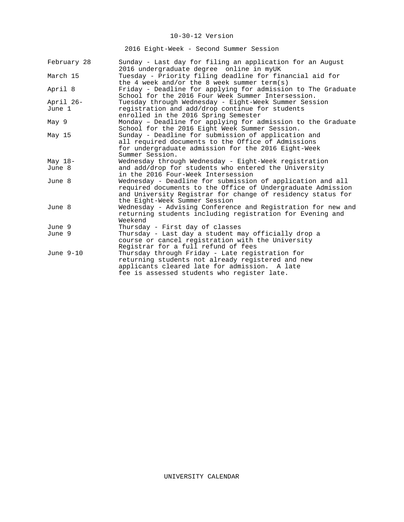2016 Eight-Week - Second Summer Session

| February 28 | Sunday - Last day for filing an application for an August                                                                                                                           |
|-------------|-------------------------------------------------------------------------------------------------------------------------------------------------------------------------------------|
|             | 2016 undergraduate degree online in myUK                                                                                                                                            |
| March 15    | Tuesday - Priority filing deadline for financial aid for                                                                                                                            |
|             | the 4 week and/or the 8 week summer term(s)                                                                                                                                         |
| April 8     | Friday - Deadline for applying for admission to The Graduate<br>School for the 2016 Four Week Summer Intersession.                                                                  |
| April 26-   | Tuesday through Wednesday - Eight-Week Summer Session                                                                                                                               |
| June 1      | registration and add/drop continue for students<br>enrolled in the 2016 Spring Semester                                                                                             |
| May 9       | Monday - Deadline for applying for admission to the Graduate<br>School for the 2016 Eight Week Summer Session.                                                                      |
| May 15      | Sunday - Deadline for submission of application and<br>all required documents to the Office of Admissions<br>for undergraduate admission for the 2016 Eight-Week<br>Summer Session. |
| May $18-$   | Wednesday through Wednesday - Eight-Week registration                                                                                                                               |
| June 8      | and add/drop for students who entered the University                                                                                                                                |
|             | in the 2016 Four-Week Intersession                                                                                                                                                  |
| June 8      | Wednesday - Deadline for submission of application and all                                                                                                                          |
|             | required documents to the Office of Undergraduate Admission<br>and University Registrar for change of residency status for<br>the Eight-Week Summer Session                         |
| June 8      | Wednesday - Advising Conference and Registration for new and                                                                                                                        |
|             | returning students including registration for Evening and<br>Weekend                                                                                                                |
| June 9      | Thursday - First day of classes                                                                                                                                                     |
| June 9      | Thursday - Last day a student may officially drop a                                                                                                                                 |
|             | course or cancel registration with the University<br>Registrar for a full refund of fees                                                                                            |
| June 9-10   | Thursday through Friday - Late registration for                                                                                                                                     |
|             | returning students not already registered and new                                                                                                                                   |
|             | applicants cleared late for admission. A late                                                                                                                                       |
|             | fee is assessed students who register late.                                                                                                                                         |
|             |                                                                                                                                                                                     |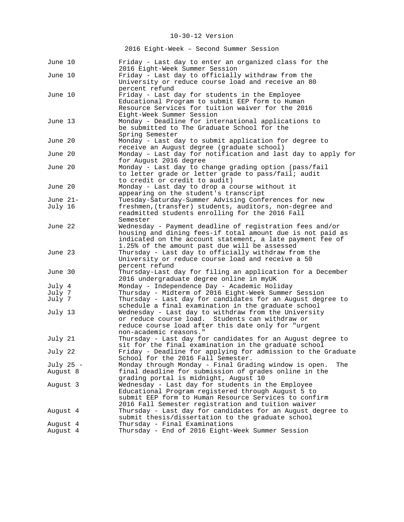2016 Eight-Week – Second Summer Session

| June 10              | Friday - Last day to enter an organized class for the<br>2016 Eight-Week Summer Session                                                                                                                                              |
|----------------------|--------------------------------------------------------------------------------------------------------------------------------------------------------------------------------------------------------------------------------------|
| June 10              | Friday - Last day to officially withdraw from the<br>University or reduce course load and receive an 80<br>percent refund                                                                                                            |
| June 10              | Friday - Last day for students in the Employee<br>Educational Program to submit EEP form to Human<br>Resource Services for tuition waiver for the 2016<br>Eight-Week Summer Session                                                  |
| June 13              | Monday - Deadline for international applications to<br>be submitted to The Graduate School for the<br>Spring Semester                                                                                                                |
| June 20              | Monday - Last day to submit application for degree to<br>receive an August degree (graduate school)                                                                                                                                  |
| June 20              | Monday - Last day for notification and last day to apply for<br>for August 2016 degree                                                                                                                                               |
| June 20              | Monday - Last day to change grading option (pass/fail<br>to letter grade or letter grade to pass/fail; audit<br>to credit or credit to audit)                                                                                        |
| June 20              | Monday - Last day to drop a course without it<br>appearing on the student's transcript                                                                                                                                               |
| June 21-             | Tuesday-Saturday-Summer Advising Conferences for new                                                                                                                                                                                 |
| July 16              | freshmen, (transfer) students, auditors, non-degree and<br>readmitted students enrolling for the 2016 Fall<br>Semester                                                                                                               |
| June 22              | Wednesday - Payment deadline of registration fees and/or<br>housing and dining fees-if total amount due is not paid as<br>indicated on the account statement, a late payment fee of<br>1.25% of the amount past due will be assessed |
| June 23              | Thursday - Last day to officially withdraw from the<br>University or reduce course load and receive a 50<br>percent refund                                                                                                           |
| June 30              | Thursday-Last day for filing an application for a December<br>2016 undergraduate degree online in myUK                                                                                                                               |
| July 4               | Monday - Independence Day - Academic Holiday                                                                                                                                                                                         |
| July 7               | Thursday - Midterm of 2016 Eight-Week Summer Session                                                                                                                                                                                 |
| July 7               | Thursday - Last day for candidates for an August degree to<br>schedule a final examination in the graduate school                                                                                                                    |
| July 13              | Wednesday - Last day to withdraw from the University<br>or reduce course load. Students can withdraw or<br>reduce course load after this date only for "urgent<br>non-academic reasons."                                             |
| July 21              | Thursday - Last day for candidates for an August degree to<br>sit for the final examination in the graduate school                                                                                                                   |
| July 22              | Friday - Deadline for applying for admission to the Graduate<br>School for the 2016 Fall Semester.                                                                                                                                   |
| July 25 -            | Monday through Monday - Final Grading window is open.<br>The                                                                                                                                                                         |
| August 8             | final deadline for submission of grades online in the<br>grading portal is midnight, August 10                                                                                                                                       |
| August 3             | Wednesday - Last day for students in the Employee<br>Educational Program registered through August 5 to<br>submit EEP form to Human Resource Services to confirm<br>2016 Fall Semester registration and tuition waiver               |
| August 4             | Thursday - Last day for candidates for an August degree to<br>submit thesis/dissertation to the graduate school                                                                                                                      |
| Auqust 4<br>August 4 | Thursday - Final Examinations<br>Thursday - End of 2016 Eight-Week Summer Session                                                                                                                                                    |